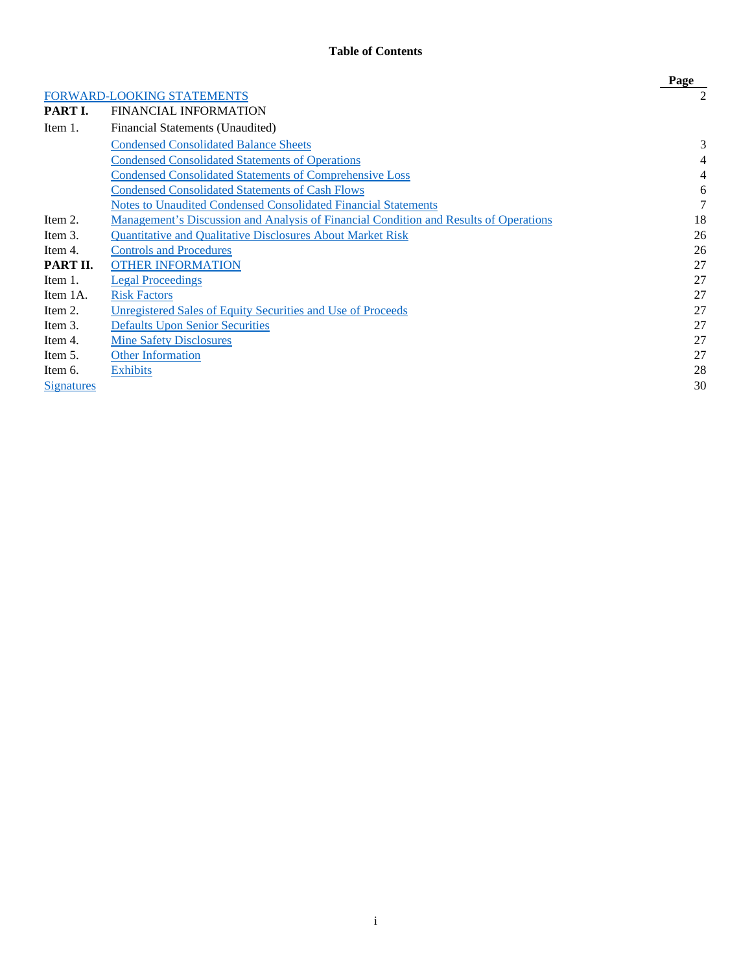|                   |                                                                                       | Page |
|-------------------|---------------------------------------------------------------------------------------|------|
|                   | <b>FORWARD-LOOKING STATEMENTS</b>                                                     | 2    |
| PART I.           | FINANCIAL INFORMATION                                                                 |      |
| Item 1.           | Financial Statements (Unaudited)                                                      |      |
|                   | <b>Condensed Consolidated Balance Sheets</b>                                          | 3    |
|                   | <b>Condensed Consolidated Statements of Operations</b>                                |      |
|                   | <b>Condensed Consolidated Statements of Comprehensive Loss</b>                        | 4    |
|                   | <b>Condensed Consolidated Statements of Cash Flows</b>                                | 6    |
|                   | Notes to Unaudited Condensed Consolidated Financial Statements                        |      |
| Item 2.           | Management's Discussion and Analysis of Financial Condition and Results of Operations | 18   |
| Item 3.           | <b>Ouantitative and Oualitative Disclosures About Market Risk</b>                     | 26   |
| Item 4.           | <b>Controls and Procedures</b>                                                        | 26   |
| PART II.          | <b>OTHER INFORMATION</b>                                                              | 27   |
| Item 1.           | <b>Legal Proceedings</b>                                                              | 27   |
| Item 1A.          | <b>Risk Factors</b>                                                                   | 27   |
| Item 2.           | <b>Unregistered Sales of Equity Securities and Use of Proceeds</b>                    | 27   |
| Item 3.           | <b>Defaults Upon Senior Securities</b>                                                | 27   |
| Item 4.           | <b>Mine Safety Disclosures</b>                                                        | 27   |
| Item 5.           | <b>Other Information</b>                                                              | 27   |
| Item 6.           | <b>Exhibits</b>                                                                       | 28   |
| <b>Signatures</b> |                                                                                       | 30   |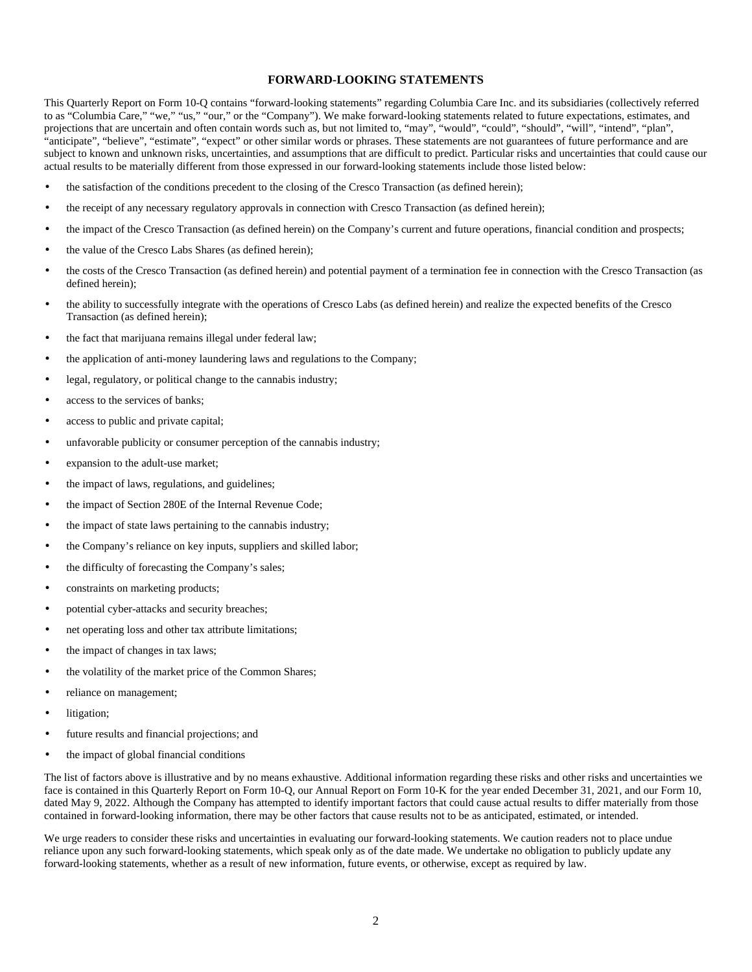### **FORWARD-LOOKING STATEMENTS**

This Quarterly Report on Form 10-Q contains "forward-looking statements" regarding Columbia Care Inc. and its subsidiaries (collectively referred to as "Columbia Care," "we," "us," "our," or the "Company"). We make forward-looking statements related to future expectations, estimates, and projections that are uncertain and often contain words such as, but not limited to, "may", "would", "could", "should", "will", "intend", "plan", "anticipate", "believe", "estimate", "expect" or other similar words or phrases. These statements are not guarantees of future performance and are subject to known and unknown risks, uncertainties, and assumptions that are difficult to predict. Particular risks and uncertainties that could cause our actual results to be materially different from those expressed in our forward-looking statements include those listed below:

- the satisfaction of the conditions precedent to the closing of the Cresco Transaction (as defined herein);
- the receipt of any necessary regulatory approvals in connection with Cresco Transaction (as defined herein);
- the impact of the Cresco Transaction (as defined herein) on the Company's current and future operations, financial condition and prospects;
- the value of the Cresco Labs Shares (as defined herein);
- the costs of the Cresco Transaction (as defined herein) and potential payment of a termination fee in connection with the Cresco Transaction (as defined herein);
- the ability to successfully integrate with the operations of Cresco Labs (as defined herein) and realize the expected benefits of the Cresco Transaction (as defined herein);
- the fact that marijuana remains illegal under federal law;
- the application of anti-money laundering laws and regulations to the Company;
- legal, regulatory, or political change to the cannabis industry;
- access to the services of banks;
- access to public and private capital;
- unfavorable publicity or consumer perception of the cannabis industry;
- expansion to the adult-use market;
- the impact of laws, regulations, and guidelines;
- the impact of Section 280E of the Internal Revenue Code;
- the impact of state laws pertaining to the cannabis industry;
- the Company's reliance on key inputs, suppliers and skilled labor;
- the difficulty of forecasting the Company's sales;
- constraints on marketing products;
- potential cyber-attacks and security breaches;
- net operating loss and other tax attribute limitations;
- the impact of changes in tax laws;
- the volatility of the market price of the Common Shares;
- reliance on management;
- litigation;
- future results and financial projections; and
- the impact of global financial conditions

The list of factors above is illustrative and by no means exhaustive. Additional information regarding these risks and other risks and uncertainties we face is contained in this Quarterly Report on Form 10-Q, our Annual Report on Form 10-K for the year ended December 31, 2021, and our Form 10, dated May 9, 2022. Although the Company has attempted to identify important factors that could cause actual results to differ materially from those contained in forward-looking information, there may be other factors that cause results not to be as anticipated, estimated, or intended.

We urge readers to consider these risks and uncertainties in evaluating our forward-looking statements. We caution readers not to place undue reliance upon any such forward-looking statements, which speak only as of the date made. We undertake no obligation to publicly update any forward-looking statements, whether as a result of new information, future events, or otherwise, except as required by law.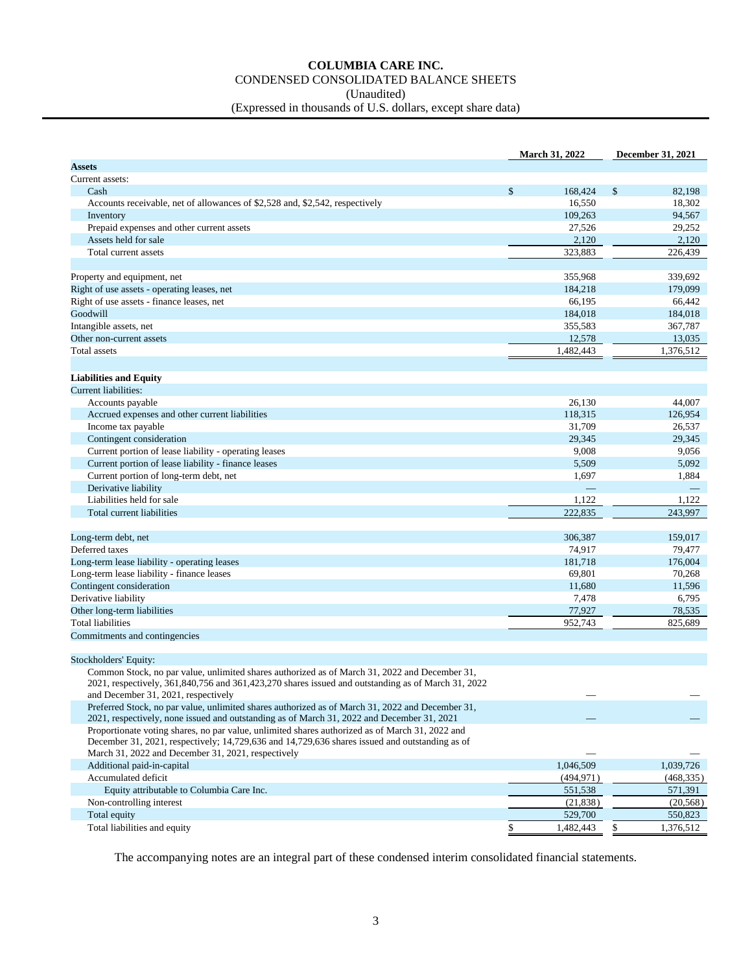## **COLUMBIA CARE INC.** CONDENSED CONSOLIDATED BALANCE SHEETS (Unaudited) (Expressed in thousands of U.S. dollars, except share data)

|                                                                                                                                                      | <b>March 31, 2022</b> | December 31, 2021      |
|------------------------------------------------------------------------------------------------------------------------------------------------------|-----------------------|------------------------|
| <b>Assets</b>                                                                                                                                        |                       |                        |
| Current assets:                                                                                                                                      |                       |                        |
| Cash                                                                                                                                                 | \$<br>168,424         | \$<br>82,198           |
| Accounts receivable, net of allowances of \$2,528 and, \$2,542, respectively                                                                         | 16,550                | 18,302                 |
| Inventory                                                                                                                                            | 109,263               | 94,567                 |
| Prepaid expenses and other current assets                                                                                                            | 27,526                | 29,252                 |
| Assets held for sale                                                                                                                                 | 2,120                 | 2,120                  |
| Total current assets                                                                                                                                 | 323,883               | 226,439                |
| Property and equipment, net                                                                                                                          | 355,968               | 339,692                |
| Right of use assets - operating leases, net                                                                                                          | 184,218               | 179,099                |
| Right of use assets - finance leases, net                                                                                                            | 66,195                | 66,442                 |
| Goodwill                                                                                                                                             | 184,018               | 184,018                |
| Intangible assets, net                                                                                                                               | 355,583               | 367,787                |
| Other non-current assets                                                                                                                             | 12,578                | 13,035                 |
| Total assets                                                                                                                                         | 1,482,443             | 1,376,512              |
|                                                                                                                                                      |                       |                        |
| <b>Liabilities and Equity</b>                                                                                                                        |                       |                        |
| <b>Current liabilities:</b>                                                                                                                          |                       |                        |
| Accounts payable                                                                                                                                     | 26,130                | 44,007                 |
| Accrued expenses and other current liabilities                                                                                                       | 118,315               | 126,954                |
| Income tax payable                                                                                                                                   | 31,709                | 26,537                 |
| Contingent consideration                                                                                                                             | 29,345                | 29,345                 |
| Current portion of lease liability - operating leases                                                                                                | 9,008                 | 9,056                  |
| Current portion of lease liability - finance leases                                                                                                  | 5,509                 | 5,092                  |
| Current portion of long-term debt, net                                                                                                               | 1,697                 | 1,884                  |
| Derivative liability                                                                                                                                 |                       |                        |
| Liabilities held for sale                                                                                                                            | 1,122                 | 1,122                  |
| Total current liabilities                                                                                                                            | 222,835               | 243,997                |
| Long-term debt, net                                                                                                                                  | 306,387               | 159,017                |
| Deferred taxes                                                                                                                                       | 74,917                | 79,477                 |
| Long-term lease liability - operating leases                                                                                                         | 181,718               | 176,004                |
| Long-term lease liability - finance leases                                                                                                           | 69,801                | 70,268                 |
| Contingent consideration                                                                                                                             | 11,680                | 11,596                 |
| Derivative liability                                                                                                                                 | 7,478                 | 6,795                  |
| Other long-term liabilities                                                                                                                          | 77,927                | 78,535                 |
| <b>Total liabilities</b>                                                                                                                             |                       |                        |
| Commitments and contingencies                                                                                                                        | 952,743               | 825,689                |
|                                                                                                                                                      |                       |                        |
| Stockholders' Equity:                                                                                                                                |                       |                        |
| Common Stock, no par value, unlimited shares authorized as of March 31, 2022 and December 31,                                                        |                       |                        |
| 2021, respectively, 361,840,756 and 361,423,270 shares issued and outstanding as of March 31, 2022<br>and December 31, 2021, respectively            |                       |                        |
| Preferred Stock, no par value, unlimited shares authorized as of March 31, 2022 and December 31,                                                     |                       |                        |
| 2021, respectively, none issued and outstanding as of March 31, 2022 and December 31, 2021                                                           |                       |                        |
| Proportionate voting shares, no par value, unlimited shares authorized as of March 31, 2022 and                                                      |                       |                        |
| December 31, 2021, respectively; 14,729,636 and 14,729,636 shares issued and outstanding as of<br>March 31, 2022 and December 31, 2021, respectively |                       |                        |
| Additional paid-in-capital                                                                                                                           | 1,046,509             | 1,039,726              |
| Accumulated deficit                                                                                                                                  | (494, 971)            | (468, 335)             |
| Equity attributable to Columbia Care Inc.                                                                                                            | 551,538               | 571,391                |
|                                                                                                                                                      |                       |                        |
| Non-controlling interest                                                                                                                             | (21, 838)<br>529,700  | (20, 568)              |
| Total equity                                                                                                                                         |                       | 550,823                |
| Total liabilities and equity                                                                                                                         | \$<br>1,482,443       | 1,376,512<br><u>\$</u> |

The accompanying notes are an integral part of these condensed interim consolidated financial statements.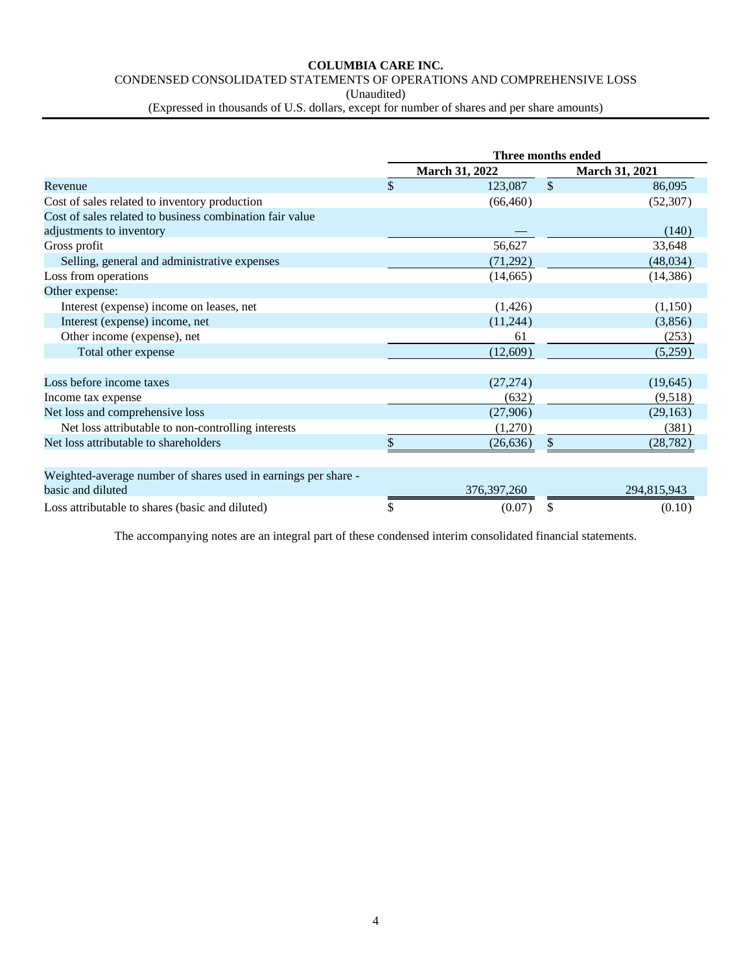# **COLUMBIA CARE INC.**

CONDENSED CONSOLIDATED STATEMENTS OF OPERATIONS AND COMPREHENSIVE LOSS

(Unaudited)

(Expressed in thousands of U.S. dollars, except for number of shares and per share amounts)

|                                                                | Three months ended |                       |               |                       |  |  |
|----------------------------------------------------------------|--------------------|-----------------------|---------------|-----------------------|--|--|
|                                                                |                    | <b>March 31, 2022</b> |               | <b>March 31, 2021</b> |  |  |
| Revenue                                                        | \$                 | 123,087               | $\mathcal{S}$ | 86,095                |  |  |
| Cost of sales related to inventory production                  |                    | (66, 460)             |               | (52, 307)             |  |  |
| Cost of sales related to business combination fair value       |                    |                       |               |                       |  |  |
| adjustments to inventory                                       |                    |                       |               | (140)                 |  |  |
| Gross profit                                                   |                    | 56,627                |               | 33,648                |  |  |
| Selling, general and administrative expenses                   |                    | (71,292)              |               | (48,034)              |  |  |
| Loss from operations                                           |                    | (14,665)              |               | (14, 386)             |  |  |
| Other expense:                                                 |                    |                       |               |                       |  |  |
| Interest (expense) income on leases, net                       |                    | (1,426)               |               | (1,150)               |  |  |
| Interest (expense) income, net                                 |                    | (11,244)              |               | (3,856)               |  |  |
| Other income (expense), net                                    |                    | 61                    |               | (253)                 |  |  |
| Total other expense                                            |                    | (12,609)              |               | (5,259)               |  |  |
|                                                                |                    |                       |               |                       |  |  |
| Loss before income taxes                                       |                    | (27, 274)             |               | (19, 645)             |  |  |
| Income tax expense                                             |                    | (632)                 |               | (9,518)               |  |  |
| Net loss and comprehensive loss                                |                    | (27,906)              |               | (29, 163)             |  |  |
| Net loss attributable to non-controlling interests             |                    | (1,270)               |               | (381)                 |  |  |
| Net loss attributable to shareholders                          |                    | (26, 636)             |               | (28, 782)             |  |  |
|                                                                |                    |                       |               |                       |  |  |
| Weighted-average number of shares used in earnings per share - |                    |                       |               |                       |  |  |
| basic and diluted                                              |                    | 376, 397, 260         |               | 294,815,943           |  |  |
| Loss attributable to shares (basic and diluted)                | \$                 | (0.07)                |               | (0.10)                |  |  |

The accompanying notes are an integral part of these condensed interim consolidated financial statements.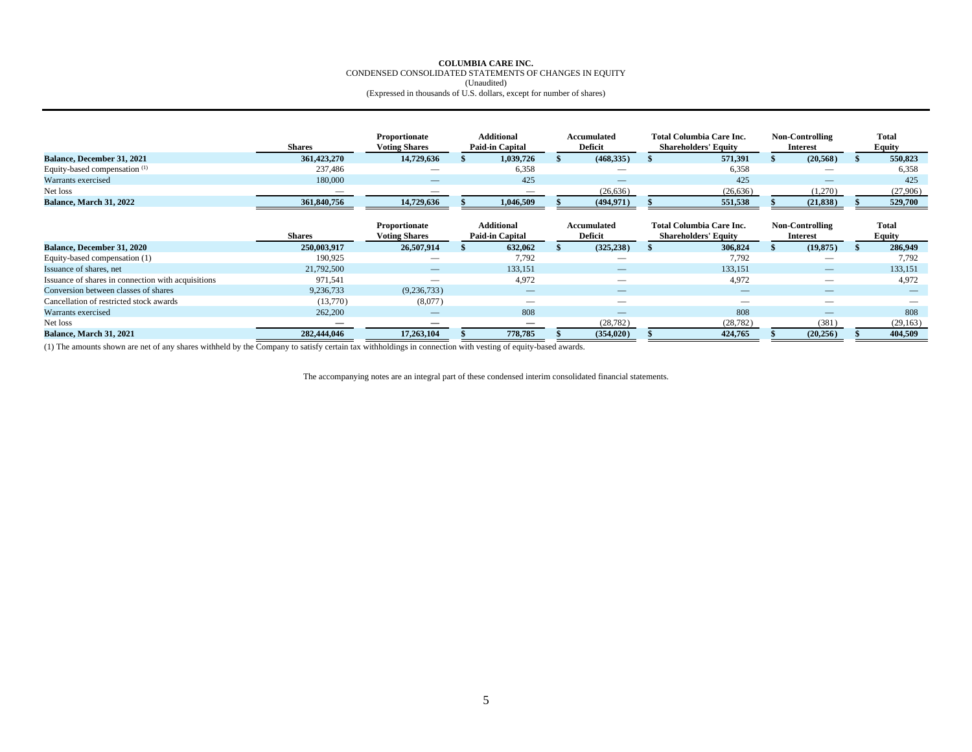#### **COLUMBIA CARE INC.** CONDENSED CONSOLIDATED STATEMENTS OF CHANGES IN EQUITY (Unaudited) (Expressed in thousands of U.S. dollars, except for number of shares)

|                                   | <b>Shares</b> | <b>Proportionate</b><br><b>Voting Shares</b> | <b>Additional</b><br><b>Paid-in Capital</b> | Accumulated<br>Deficit   | Total Columbia Care Inc.<br><b>Shareholders' Equity</b> | <b>Non-Controlling</b><br><b>Interest</b> | Total<br><b>Equity</b> |
|-----------------------------------|---------------|----------------------------------------------|---------------------------------------------|--------------------------|---------------------------------------------------------|-------------------------------------------|------------------------|
| <b>Balance, December 31, 2021</b> | 361,423,270   | 14,729,636                                   | 1.039.726                                   | (468.335)                | 571,391                                                 | (20, 568)                                 | 550,823                |
| Equity-based compensation (1)     | 237,486       | $\overline{\phantom{a}}$                     | 6,358                                       | $\overline{\phantom{a}}$ | 6,358                                                   | $\hspace{0.05cm}$                         | 6,358                  |
| Warrants exercised                | 180,000       |                                              | 425                                         |                          | 425                                                     | $\qquad \qquad$                           | 425                    |
| Net loss                          |               |                                              |                                             | (26, 636)                | (26, 636)                                               | (1,270)                                   | (27,906)               |
| <b>Balance, March 31, 2022</b>    | 361,840,756   | 14.729.636                                   | 1,046,509                                   | (494, 971)               | 551,538                                                 | (21, 838)                                 | 529,700                |

|                                                    |               | <b>Proportionate</b> | <b>Additional</b>                         | Accumulated              | <b>Total Columbia Care Inc.</b> | <b>Non-Controlling</b>          | Total     |
|----------------------------------------------------|---------------|----------------------|-------------------------------------------|--------------------------|---------------------------------|---------------------------------|-----------|
|                                                    | <b>Shares</b> | <b>Voting Shares</b> | <b>Paid-in Capital</b>                    | Deficit                  | <b>Shareholders' Equity</b>     | <b>Interest</b>                 | Equity    |
| <b>Balance, December 31, 2020</b>                  | 250,003,917   | 26,507,914           | 632.062                                   | (325, 238)               | 306,824                         | (19, 875)                       | 286,949   |
| Equity-based compensation (1)                      | 190,925       |                      | 7,792                                     | $\overline{\phantom{a}}$ | 7,792                           | _                               | 7,792     |
| Issuance of shares, net                            | 21,792,500    |                      | 133,151                                   |                          | 133.151                         | $\hspace{0.1mm}-\hspace{0.1mm}$ | 133,151   |
| Issuance of shares in connection with acquisitions | 971,541       |                      | 4,972                                     | $\overline{\phantom{a}}$ | 4,972                           | $\overline{\phantom{a}}$        | 4,972     |
| Conversion between classes of shares               | 9,236,733     | (9, 236, 733)        | $\qquad \qquad \overline{\qquad \qquad }$ |                          | $\hspace{0.1mm}-\hspace{0.1mm}$ |                                 |           |
| Cancellation of restricted stock awards            | (13,770)      | (8,077)              | $\overline{\phantom{a}}$                  | $\overline{\phantom{a}}$ |                                 |                                 |           |
| Warrants exercised                                 | 262,200       |                      | 808                                       |                          | 808                             |                                 | 808       |
| Net loss                                           | _             |                      |                                           | (28, 782)                | (28, 782)                       | (381)                           | (29, 163) |
| <b>Balance, March 31, 2021</b>                     | 282,444,046   | 17,263,104           | 778,785                                   | (354, 020)               | 424,765                         | (20, 256)                       | 404,509   |

(1) The amounts shown are net of any shares withheld by the Company to satisfy certain tax withholdings in connection with vesting of equity-based awards.

The accompanying notes are an integral part of these condensed interim consolidated financial statements.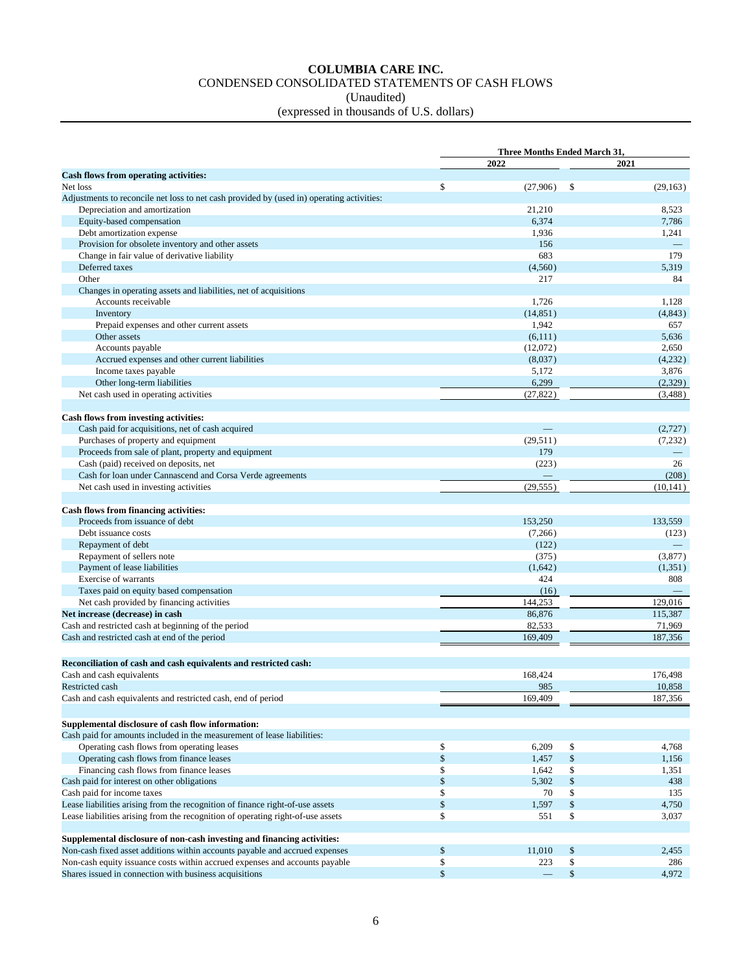## **COLUMBIA CARE INC.** CONDENSED CONSOLIDATED STATEMENTS OF CASH FLOWS (Unaudited)

(expressed in thousands of U.S. dollars)

|                                                                                           | <b>Three Months Ended March 31.</b> |           |      |           |
|-------------------------------------------------------------------------------------------|-------------------------------------|-----------|------|-----------|
|                                                                                           |                                     | 2022      |      | 2021      |
| Cash flows from operating activities:                                                     |                                     |           |      |           |
| Net loss                                                                                  | \$                                  | (27,906)  | \$   | (29, 163) |
| Adjustments to reconcile net loss to net cash provided by (used in) operating activities: |                                     |           |      |           |
| Depreciation and amortization                                                             |                                     | 21,210    |      | 8,523     |
| Equity-based compensation                                                                 |                                     | 6,374     |      | 7,786     |
| Debt amortization expense                                                                 |                                     | 1,936     |      | 1,241     |
| Provision for obsolete inventory and other assets                                         |                                     | 156       |      |           |
| Change in fair value of derivative liability                                              |                                     | 683       |      | 179       |
| Deferred taxes                                                                            |                                     | (4,560)   |      | 5,319     |
| Other                                                                                     |                                     | 217       |      | 84        |
| Changes in operating assets and liabilities, net of acquisitions                          |                                     |           |      |           |
| Accounts receivable                                                                       |                                     | 1,726     |      | 1,128     |
| Inventory                                                                                 |                                     | (14, 851) |      | (4, 843)  |
| Prepaid expenses and other current assets                                                 |                                     | 1,942     |      | 657       |
| Other assets                                                                              |                                     | (6,111)   |      | 5,636     |
| Accounts payable                                                                          |                                     | (12,072)  |      | 2,650     |
| Accrued expenses and other current liabilities                                            |                                     | (8,037)   |      | (4,232)   |
| Income taxes payable                                                                      |                                     | 5,172     |      | 3,876     |
| Other long-term liabilities                                                               |                                     | 6,299     |      | (2,329)   |
| Net cash used in operating activities                                                     |                                     | (27, 822) |      | (3,488)   |
|                                                                                           |                                     |           |      |           |
| Cash flows from investing activities:                                                     |                                     |           |      |           |
| Cash paid for acquisitions, net of cash acquired                                          |                                     |           |      | (2,727)   |
| Purchases of property and equipment                                                       |                                     | (29,511)  |      | (7,232)   |
| Proceeds from sale of plant, property and equipment                                       |                                     | 179       |      |           |
| Cash (paid) received on deposits, net                                                     |                                     | (223)     |      | 26        |
| Cash for loan under Cannascend and Corsa Verde agreements                                 |                                     |           |      | (208)     |
| Net cash used in investing activities                                                     |                                     | (29, 555) |      | (10, 141) |
|                                                                                           |                                     |           |      |           |
| Cash flows from financing activities:                                                     |                                     |           |      |           |
| Proceeds from issuance of debt                                                            |                                     | 153,250   |      | 133,559   |
| Debt issuance costs                                                                       |                                     | (7,266)   |      | (123)     |
| Repayment of debt                                                                         |                                     | (122)     |      |           |
| Repayment of sellers note                                                                 |                                     | (375)     |      | (3,877)   |
| Payment of lease liabilities                                                              |                                     | (1,642)   |      | (1,351)   |
| Exercise of warrants                                                                      |                                     | 424       |      | 808       |
| Taxes paid on equity based compensation                                                   |                                     | (16)      |      |           |
| Net cash provided by financing activities                                                 |                                     | 144,253   |      | 129,016   |
| Net increase (decrease) in cash                                                           |                                     | 86,876    |      | 115,387   |
| Cash and restricted cash at beginning of the period                                       |                                     | 82,533    |      | 71,969    |
| Cash and restricted cash at end of the period                                             |                                     | 169,409   |      | 187,356   |
|                                                                                           |                                     |           |      |           |
|                                                                                           |                                     |           |      |           |
| Reconciliation of cash and cash equivalents and restricted cash:                          |                                     |           |      |           |
| Cash and cash equivalents                                                                 |                                     | 168,424   |      | 176,498   |
| Restricted cash                                                                           |                                     | 985       |      | 10,858    |
| Cash and cash equivalents and restricted cash, end of period                              |                                     | 169,409   |      | 187,356   |
|                                                                                           |                                     |           |      |           |
| Supplemental disclosure of cash flow information:                                         |                                     |           |      |           |
| Cash paid for amounts included in the measurement of lease liabilities:                   |                                     |           |      |           |
| Operating cash flows from operating leases                                                | \$                                  | 6,209     | \$   | 4,768     |
| Operating cash flows from finance leases                                                  | \$                                  | 1,457     | $\$$ | 1,156     |
| Financing cash flows from finance leases                                                  | \$                                  | 1,642     | \$   | 1,351     |
| Cash paid for interest on other obligations                                               | \$                                  | 5,302     | \$   | 438       |
| Cash paid for income taxes                                                                | \$                                  | 70        | \$   | 135       |
| Lease liabilities arising from the recognition of finance right-of-use assets             | \$                                  | 1,597     | \$   | 4,750     |
| Lease liabilities arising from the recognition of operating right-of-use assets           | \$                                  | 551       | \$   | 3,037     |
|                                                                                           |                                     |           |      |           |
| Supplemental disclosure of non-cash investing and financing activities:                   |                                     |           |      |           |
| Non-cash fixed asset additions within accounts payable and accrued expenses               | \$                                  | 11,010    | \$   | 2,455     |
| Non-cash equity issuance costs within accrued expenses and accounts payable               | \$                                  | 223       | \$   | 286       |
| Shares issued in connection with business acquisitions                                    | \$                                  |           | \$   | 4,972     |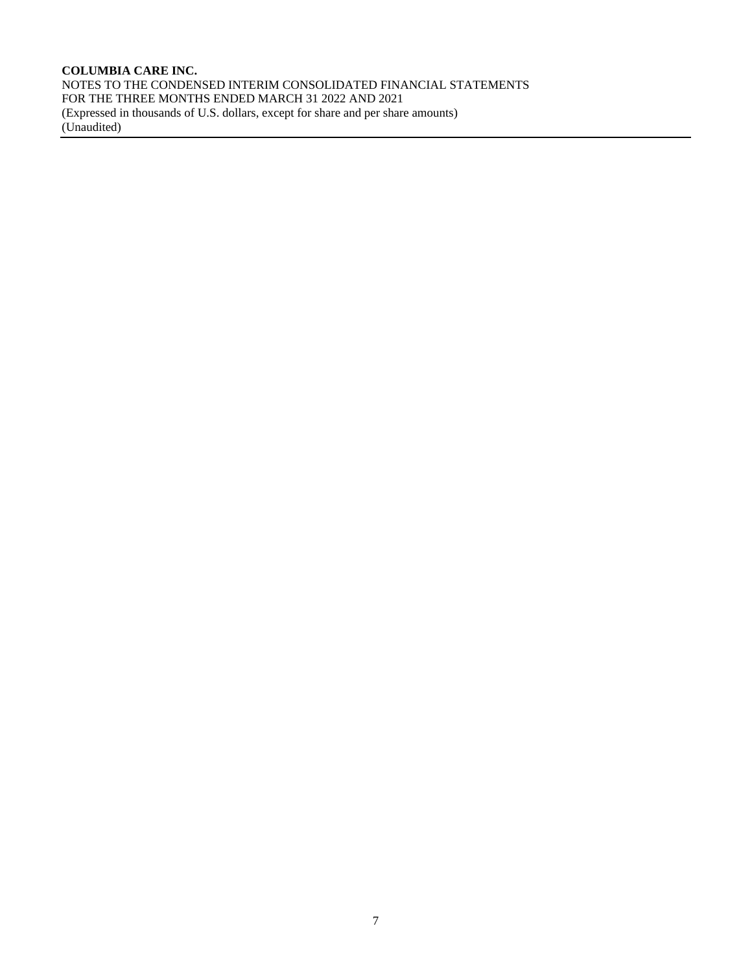## **COLUMBIA CARE INC.** NOTES TO THE CONDENSED INTERIM CONSOLIDATED FINANCIAL STATEMENTS FOR THE THREE MONTHS ENDED MARCH 31 2022 AND 2021 (Expressed in thousands of U.S. dollars, except for share and per share amounts) (Unaudited)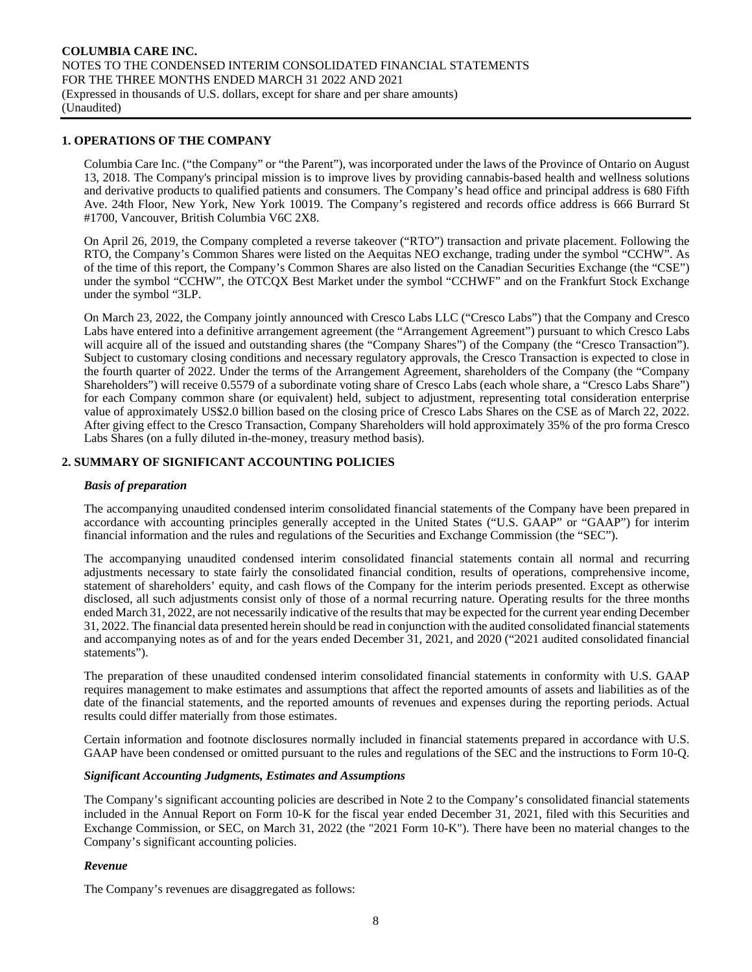### **1. OPERATIONS OF THE COMPANY**

Columbia Care Inc. ("the Company" or "the Parent"), was incorporated under the laws of the Province of Ontario on August 13, 2018. The Company's principal mission is to improve lives by providing cannabis-based health and wellness solutions and derivative products to qualified patients and consumers. The Company's head office and principal address is 680 Fifth Ave. 24th Floor, New York, New York 10019. The Company's registered and records office address is 666 Burrard St #1700, Vancouver, British Columbia V6C 2X8.

On April 26, 2019, the Company completed a reverse takeover ("RTO") transaction and private placement. Following the RTO, the Company's Common Shares were listed on the Aequitas NEO exchange, trading under the symbol "CCHW". As of the time of this report, the Company's Common Shares are also listed on the Canadian Securities Exchange (the "CSE") under the symbol "CCHW", the OTCQX Best Market under the symbol "CCHWF" and on the Frankfurt Stock Exchange under the symbol "3LP.

On March 23, 2022, the Company jointly announced with Cresco Labs LLC ("Cresco Labs") that the Company and Cresco Labs have entered into a definitive arrangement agreement (the "Arrangement Agreement") pursuant to which Cresco Labs will acquire all of the issued and outstanding shares (the "Company Shares") of the Company (the "Cresco Transaction"). Subject to customary closing conditions and necessary regulatory approvals, the Cresco Transaction is expected to close in the fourth quarter of 2022. Under the terms of the Arrangement Agreement, shareholders of the Company (the "Company Shareholders") will receive 0.5579 of a subordinate voting share of Cresco Labs (each whole share, a "Cresco Labs Share") for each Company common share (or equivalent) held, subject to adjustment, representing total consideration enterprise value of approximately US\$2.0 billion based on the closing price of Cresco Labs Shares on the CSE as of March 22, 2022. After giving effect to the Cresco Transaction, Company Shareholders will hold approximately 35% of the pro forma Cresco Labs Shares (on a fully diluted in-the-money, treasury method basis).

## **2. SUMMARY OF SIGNIFICANT ACCOUNTING POLICIES**

#### *Basis of preparation*

The accompanying unaudited condensed interim consolidated financial statements of the Company have been prepared in accordance with accounting principles generally accepted in the United States ("U.S. GAAP" or "GAAP") for interim financial information and the rules and regulations of the Securities and Exchange Commission (the "SEC").

The accompanying unaudited condensed interim consolidated financial statements contain all normal and recurring adjustments necessary to state fairly the consolidated financial condition, results of operations, comprehensive income, statement of shareholders' equity, and cash flows of the Company for the interim periods presented. Except as otherwise disclosed, all such adjustments consist only of those of a normal recurring nature. Operating results for the three months ended March 31, 2022, are not necessarily indicative of the results that may be expected for the current year ending December 31, 2022. The financial data presented herein should be read in conjunction with the audited consolidated financial statements and accompanying notes as of and for the years ended December 31, 2021, and 2020 ("2021 audited consolidated financial statements").

The preparation of these unaudited condensed interim consolidated financial statements in conformity with U.S. GAAP requires management to make estimates and assumptions that affect the reported amounts of assets and liabilities as of the date of the financial statements, and the reported amounts of revenues and expenses during the reporting periods. Actual results could differ materially from those estimates.

Certain information and footnote disclosures normally included in financial statements prepared in accordance with U.S. GAAP have been condensed or omitted pursuant to the rules and regulations of the SEC and the instructions to Form 10-Q.

### *Significant Accounting Judgments, Estimates and Assumptions*

The Company's significant accounting policies are described in Note 2 to the Company's consolidated financial statements included in the Annual Report on Form 10-K for the fiscal year ended December 31, 2021, filed with this Securities and Exchange Commission, or SEC, on March 31, 2022 (the "2021 Form 10-K"). There have been no material changes to the Company's significant accounting policies.

### *Revenue*

The Company's revenues are disaggregated as follows: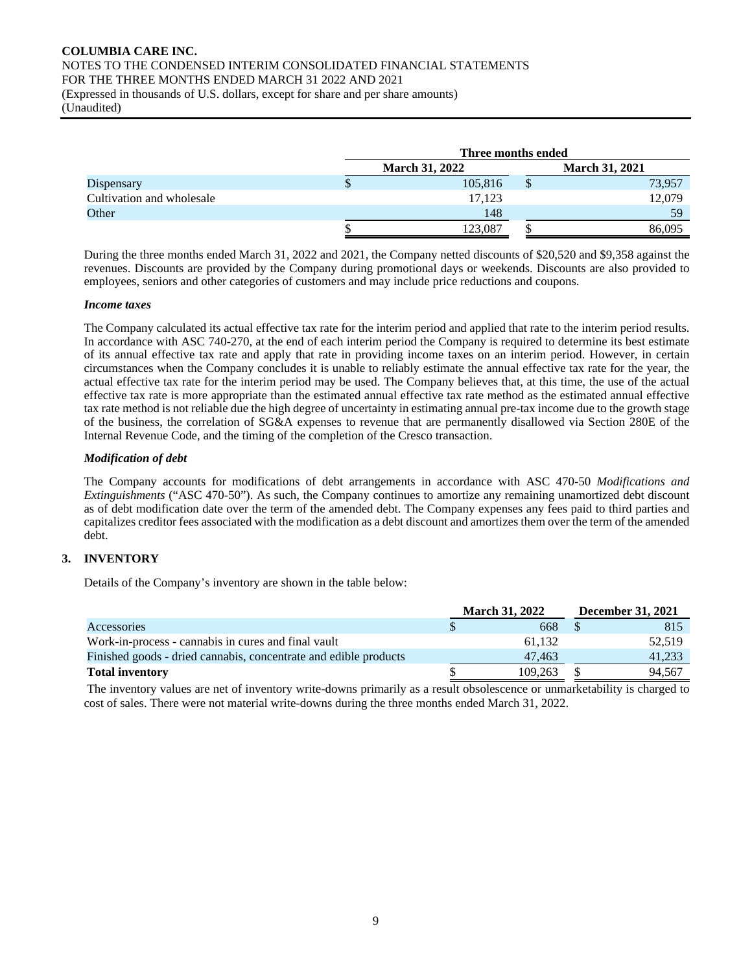|                           |    | Three months ended    |   |                       |  |  |  |
|---------------------------|----|-----------------------|---|-----------------------|--|--|--|
|                           |    | <b>March 31, 2022</b> |   | <b>March 31, 2021</b> |  |  |  |
| Dispensary                | ۰D | 105,816               | Φ | 73,957                |  |  |  |
| Cultivation and wholesale |    | 17,123                |   | 12,079                |  |  |  |
| Other                     |    | 148                   |   | 59                    |  |  |  |
|                           |    | 123,087               |   | 86,095                |  |  |  |

During the three months ended March 31, 2022 and 2021, the Company netted discounts of \$20,520 and \$9,358 against the revenues. Discounts are provided by the Company during promotional days or weekends. Discounts are also provided to employees, seniors and other categories of customers and may include price reductions and coupons.

### *Income taxes*

The Company calculated its actual effective tax rate for the interim period and applied that rate to the interim period results. In accordance with ASC 740-270, at the end of each interim period the Company is required to determine its best estimate of its annual effective tax rate and apply that rate in providing income taxes on an interim period. However, in certain circumstances when the Company concludes it is unable to reliably estimate the annual effective tax rate for the year, the actual effective tax rate for the interim period may be used. The Company believes that, at this time, the use of the actual effective tax rate is more appropriate than the estimated annual effective tax rate method as the estimated annual effective tax rate method is not reliable due the high degree of uncertainty in estimating annual pre-tax income due to the growth stage of the business, the correlation of SG&A expenses to revenue that are permanently disallowed via Section 280E of the Internal Revenue Code, and the timing of the completion of the Cresco transaction.

### *Modification of debt*

The Company accounts for modifications of debt arrangements in accordance with ASC 470-50 *Modifications and Extinguishments* ("ASC 470-50"). As such, the Company continues to amortize any remaining unamortized debt discount as of debt modification date over the term of the amended debt. The Company expenses any fees paid to third parties and capitalizes creditor fees associated with the modification as a debt discount and amortizes them over the term of the amended debt.

## **3. INVENTORY**

Details of the Company's inventory are shown in the table below:

|                                                                  | <b>March 31, 2022</b> |         | <b>December 31, 2021</b> |
|------------------------------------------------------------------|-----------------------|---------|--------------------------|
| Accessories                                                      |                       | 668     | 815                      |
| Work-in-process - cannabis in cures and final vault              |                       | 61.132  | 52,519                   |
| Finished goods - dried cannabis, concentrate and edible products |                       | 47.463  | 41,233                   |
| <b>Total inventory</b>                                           |                       | 109.263 | 94,567                   |

 The inventory values are net of inventory write-downs primarily as a result obsolescence or unmarketability is charged to cost of sales. There were not material write-downs during the three months ended March 31, 2022.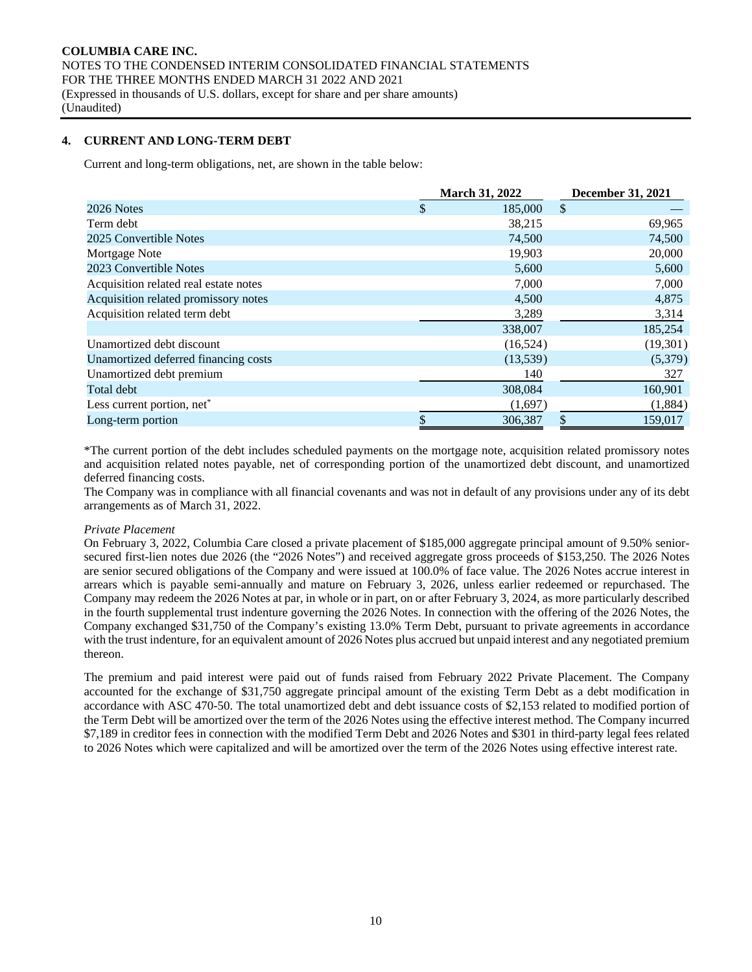## **4. CURRENT AND LONG-TERM DEBT**

Current and long-term obligations, net, are shown in the table below:

|                                       | <b>March 31, 2022</b> | <b>December 31, 2021</b> |
|---------------------------------------|-----------------------|--------------------------|
| 2026 Notes                            | \$<br>185,000         | $\mathbb{S}$             |
| Term debt                             | 38,215                | 69,965                   |
| 2025 Convertible Notes                | 74,500                | 74,500                   |
| Mortgage Note                         | 19,903                | 20,000                   |
| 2023 Convertible Notes                | 5,600                 | 5,600                    |
| Acquisition related real estate notes | 7,000                 | 7,000                    |
| Acquisition related promissory notes  | 4,500                 | 4,875                    |
| Acquisition related term debt         | 3,289                 | 3,314                    |
|                                       | 338,007               | 185,254                  |
| Unamortized debt discount             | (16, 524)             | (19,301)                 |
| Unamortized deferred financing costs  | (13,539)              | (5,379)                  |
| Unamortized debt premium              | 140                   | 327                      |
| Total debt                            | 308,084               | 160,901                  |
| Less current portion, net*            | (1,697)               | (1,884)                  |
| Long-term portion                     | 306,387               | 159,017                  |

\*The current portion of the debt includes scheduled payments on the mortgage note, acquisition related promissory notes and acquisition related notes payable, net of corresponding portion of the unamortized debt discount, and unamortized deferred financing costs.

The Company was in compliance with all financial covenants and was not in default of any provisions under any of its debt arrangements as of March 31, 2022.

### *Private Placement*

On February 3, 2022, Columbia Care closed a private placement of \$185,000 aggregate principal amount of 9.50% seniorsecured first-lien notes due 2026 (the "2026 Notes") and received aggregate gross proceeds of \$153,250. The 2026 Notes are senior secured obligations of the Company and were issued at 100.0% of face value. The 2026 Notes accrue interest in arrears which is payable semi-annually and mature on February 3, 2026, unless earlier redeemed or repurchased. The Company may redeem the 2026 Notes at par, in whole or in part, on or after February 3, 2024, as more particularly described in the fourth supplemental trust indenture governing the 2026 Notes. In connection with the offering of the 2026 Notes, the Company exchanged \$31,750 of the Company's existing 13.0% Term Debt, pursuant to private agreements in accordance with the trust indenture, for an equivalent amount of 2026 Notes plus accrued but unpaid interest and any negotiated premium thereon.

The premium and paid interest were paid out of funds raised from February 2022 Private Placement. The Company accounted for the exchange of \$31,750 aggregate principal amount of the existing Term Debt as a debt modification in accordance with ASC 470-50. The total unamortized debt and debt issuance costs of \$2,153 related to modified portion of the Term Debt will be amortized over the term of the 2026 Notes using the effective interest method. The Company incurred \$7,189 in creditor fees in connection with the modified Term Debt and 2026 Notes and \$301 in third-party legal fees related to 2026 Notes which were capitalized and will be amortized over the term of the 2026 Notes using effective interest rate.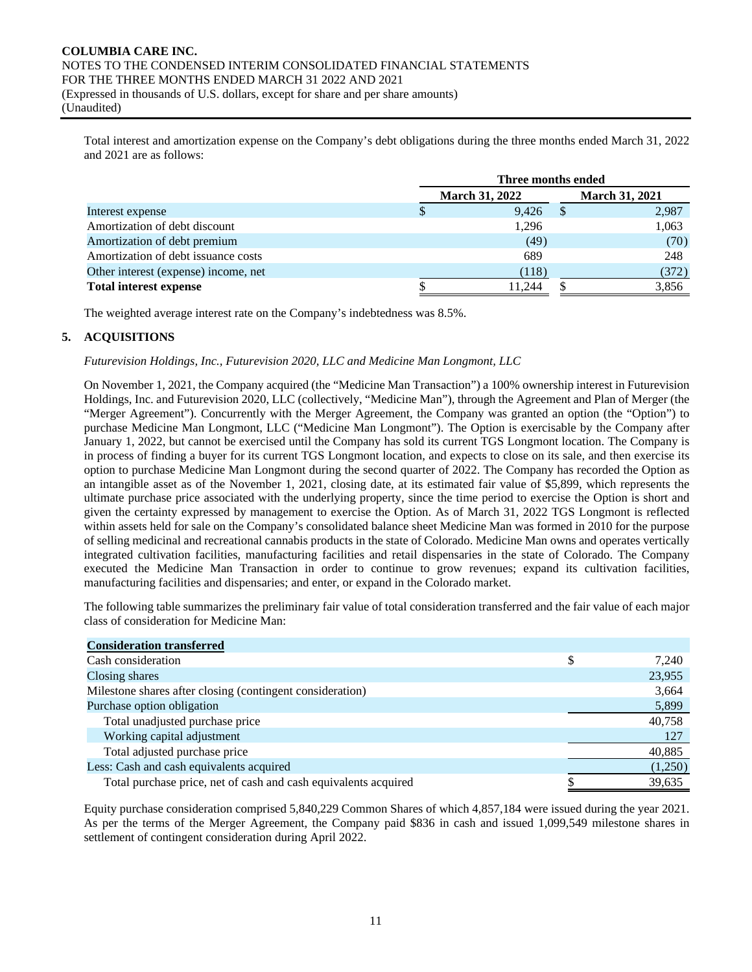Total interest and amortization expense on the Company's debt obligations during the three months ended March 31, 2022 and 2021 are as follows:

|                                      | Three months ended    |  |                       |  |  |
|--------------------------------------|-----------------------|--|-----------------------|--|--|
|                                      | <b>March 31, 2022</b> |  | <b>March 31, 2021</b> |  |  |
| Interest expense                     | 9,426                 |  | 2,987                 |  |  |
| Amortization of debt discount        | 1,296                 |  | 1,063                 |  |  |
| Amortization of debt premium         | (49)                  |  | (70)                  |  |  |
| Amortization of debt issuance costs  | 689                   |  | 248                   |  |  |
| Other interest (expense) income, net | (118)                 |  | (372)                 |  |  |
| <b>Total interest expense</b>        | 11.244                |  | 3,856                 |  |  |

The weighted average interest rate on the Company's indebtedness was 8.5%.

## **5. ACQUISITIONS**

*Futurevision Holdings, Inc., Futurevision 2020, LLC and Medicine Man Longmont, LLC*

On November 1, 2021, the Company acquired (the "Medicine Man Transaction") a 100% ownership interest in Futurevision Holdings, Inc. and Futurevision 2020, LLC (collectively, "Medicine Man"), through the Agreement and Plan of Merger (the "Merger Agreement"). Concurrently with the Merger Agreement, the Company was granted an option (the "Option") to purchase Medicine Man Longmont, LLC ("Medicine Man Longmont"). The Option is exercisable by the Company after January 1, 2022, but cannot be exercised until the Company has sold its current TGS Longmont location. The Company is in process of finding a buyer for its current TGS Longmont location, and expects to close on its sale, and then exercise its option to purchase Medicine Man Longmont during the second quarter of 2022. The Company has recorded the Option as an intangible asset as of the November 1, 2021, closing date, at its estimated fair value of \$5,899, which represents the ultimate purchase price associated with the underlying property, since the time period to exercise the Option is short and given the certainty expressed by management to exercise the Option. As of March 31, 2022 TGS Longmont is reflected within assets held for sale on the Company's consolidated balance sheet Medicine Man was formed in 2010 for the purpose of selling medicinal and recreational cannabis products in the state of Colorado. Medicine Man owns and operates vertically integrated cultivation facilities, manufacturing facilities and retail dispensaries in the state of Colorado. The Company executed the Medicine Man Transaction in order to continue to grow revenues; expand its cultivation facilities, manufacturing facilities and dispensaries; and enter, or expand in the Colorado market.

The following table summarizes the preliminary fair value of total consideration transferred and the fair value of each major class of consideration for Medicine Man:

| <b>Consideration transferred</b>                                |             |
|-----------------------------------------------------------------|-------------|
| Cash consideration                                              | \$<br>7,240 |
| Closing shares                                                  | 23,955      |
| Milestone shares after closing (contingent consideration)       | 3,664       |
| Purchase option obligation                                      | 5,899       |
| Total unadjusted purchase price                                 | 40,758      |
| Working capital adjustment                                      | 127         |
| Total adjusted purchase price                                   | 40,885      |
| Less: Cash and cash equivalents acquired                        | (1,250)     |
| Total purchase price, net of cash and cash equivalents acquired | 39.635      |

Equity purchase consideration comprised 5,840,229 Common Shares of which 4,857,184 were issued during the year 2021. As per the terms of the Merger Agreement, the Company paid \$836 in cash and issued 1,099,549 milestone shares in settlement of contingent consideration during April 2022.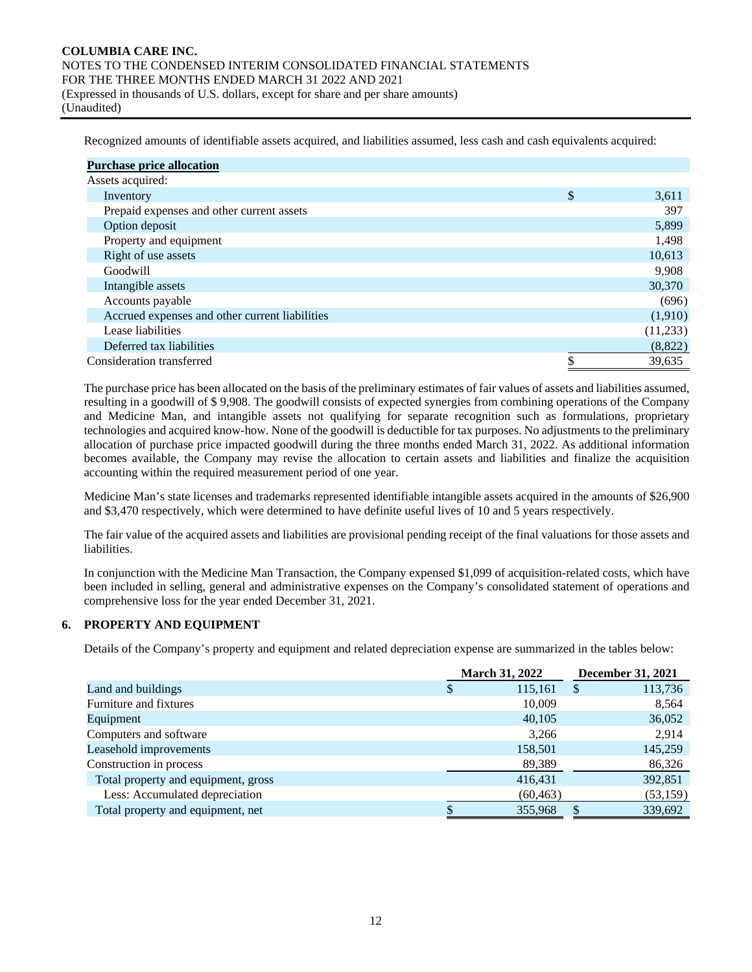Recognized amounts of identifiable assets acquired, and liabilities assumed, less cash and cash equivalents acquired:

| <b>Purchase price allocation</b>               |             |
|------------------------------------------------|-------------|
| Assets acquired:                               |             |
| Inventory                                      | \$<br>3,611 |
| Prepaid expenses and other current assets      | 397         |
| Option deposit                                 | 5,899       |
| Property and equipment                         | 1,498       |
| Right of use assets                            | 10,613      |
| Goodwill                                       | 9,908       |
| Intangible assets                              | 30,370      |
| Accounts payable                               | (696)       |
| Accrued expenses and other current liabilities | (1,910)     |
| Lease liabilities                              | (11,233)    |
| Deferred tax liabilities                       | (8,822)     |
| Consideration transferred                      | 39,635      |

The purchase price has been allocated on the basis of the preliminary estimates of fair values of assets and liabilities assumed, resulting in a goodwill of \$ 9,908. The goodwill consists of expected synergies from combining operations of the Company and Medicine Man, and intangible assets not qualifying for separate recognition such as formulations, proprietary technologies and acquired know-how. None of the goodwill is deductible for tax purposes. No adjustments to the preliminary allocation of purchase price impacted goodwill during the three months ended March 31, 2022. As additional information becomes available, the Company may revise the allocation to certain assets and liabilities and finalize the acquisition accounting within the required measurement period of one year.

Medicine Man's state licenses and trademarks represented identifiable intangible assets acquired in the amounts of \$26,900 and \$3,470 respectively, which were determined to have definite useful lives of 10 and 5 years respectively.

The fair value of the acquired assets and liabilities are provisional pending receipt of the final valuations for those assets and liabilities.

In conjunction with the Medicine Man Transaction, the Company expensed \$1,099 of acquisition-related costs, which have been included in selling, general and administrative expenses on the Company's consolidated statement of operations and comprehensive loss for the year ended December 31, 2021.

## **6. PROPERTY AND EQUIPMENT**

Details of the Company's property and equipment and related depreciation expense are summarized in the tables below:

|                                     | <b>March 31, 2022</b> |   | <b>December 31, 2021</b> |
|-------------------------------------|-----------------------|---|--------------------------|
| Land and buildings                  | 115,161               | S | 113,736                  |
| Furniture and fixtures              | 10,009                |   | 8,564                    |
| Equipment                           | 40,105                |   | 36,052                   |
| Computers and software              | 3,266                 |   | 2,914                    |
| Leasehold improvements              | 158,501               |   | 145,259                  |
| Construction in process             | 89,389                |   | 86,326                   |
| Total property and equipment, gross | 416,431               |   | 392,851                  |
| Less: Accumulated depreciation      | (60, 463)             |   | (53, 159)                |
| Total property and equipment, net   | 355,968               |   | 339,692                  |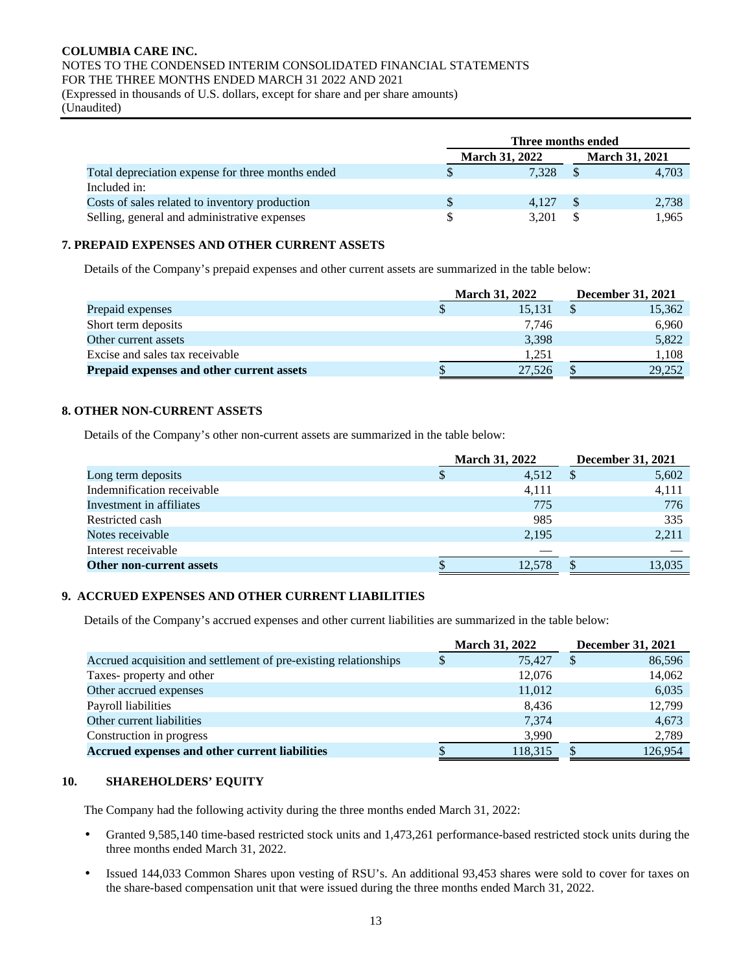## **COLUMBIA CARE INC.** NOTES TO THE CONDENSED INTERIM CONSOLIDATED FINANCIAL STATEMENTS FOR THE THREE MONTHS ENDED MARCH 31 2022 AND 2021 (Expressed in thousands of U.S. dollars, except for share and per share amounts)

(Unaudited)

|                                                   | Three months ended    |       |  |                       |  |
|---------------------------------------------------|-----------------------|-------|--|-----------------------|--|
|                                                   | <b>March 31, 2022</b> |       |  | <b>March 31, 2021</b> |  |
| Total depreciation expense for three months ended |                       | 7.328 |  | 4,703                 |  |
| Included in:                                      |                       |       |  |                       |  |
| Costs of sales related to inventory production    |                       | 4.127 |  | 2,738                 |  |
| Selling, general and administrative expenses      |                       | 3.201 |  | 1,965                 |  |

## **7. PREPAID EXPENSES AND OTHER CURRENT ASSETS**

Details of the Company's prepaid expenses and other current assets are summarized in the table below:

|                                           |   | <b>March 31, 2022</b> |  | <b>December 31, 2021</b> |
|-------------------------------------------|---|-----------------------|--|--------------------------|
| Prepaid expenses                          | S | 15.131                |  | 15,362                   |
| Short term deposits                       |   | 7.746                 |  | 6.960                    |
| Other current assets                      |   | 3,398                 |  | 5,822                    |
| Excise and sales tax receivable           |   | 1,251                 |  | 1,108                    |
| Prepaid expenses and other current assets |   | 27,526                |  | 29,252                   |

## **8. OTHER NON-CURRENT ASSETS**

Details of the Company's other non-current assets are summarized in the table below:

|   | <b>March 31, 2022</b> |   | <b>December 31, 2021</b> |
|---|-----------------------|---|--------------------------|
| S | 4,512                 | S | 5,602                    |
|   | 4,111                 |   | 4,111                    |
|   | 775                   |   | 776                      |
|   | 985                   |   | 335                      |
|   | 2,195                 |   | 2,211                    |
|   |                       |   |                          |
|   | 12.578                |   | 13.035                   |
|   |                       |   |                          |

## **9. ACCRUED EXPENSES AND OTHER CURRENT LIABILITIES**

Details of the Company's accrued expenses and other current liabilities are summarized in the table below:

|                                                                  | <b>March 31, 2022</b> |         | <b>December 31, 2021</b> |
|------------------------------------------------------------------|-----------------------|---------|--------------------------|
| Accrued acquisition and settlement of pre-existing relationships | S                     | 75.427  | \$<br>86,596             |
| Taxes- property and other                                        |                       | 12,076  | 14,062                   |
| Other accrued expenses                                           |                       | 11,012  | 6,035                    |
| Payroll liabilities                                              |                       | 8,436   | 12,799                   |
| Other current liabilities                                        |                       | 7,374   | 4,673                    |
| Construction in progress                                         |                       | 3,990   | 2,789                    |
| Accrued expenses and other current liabilities                   |                       | 118,315 | 126,954                  |

## **10. SHAREHOLDERS' EQUITY**

The Company had the following activity during the three months ended March 31, 2022:

- Granted 9,585,140 time-based restricted stock units and 1,473,261 performance-based restricted stock units during the three months ended March 31, 2022.
- Issued 144,033 Common Shares upon vesting of RSU's. An additional 93,453 shares were sold to cover for taxes on the share-based compensation unit that were issued during the three months ended March 31, 2022.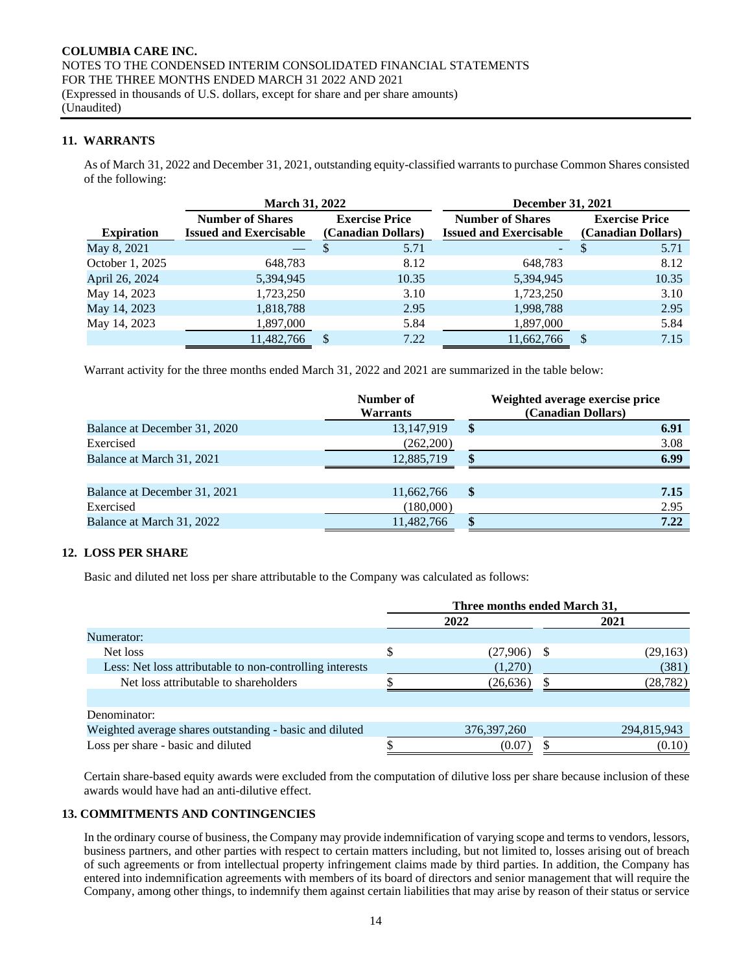## **11. WARRANTS**

As of March 31, 2022 and December 31, 2021, outstanding equity-classified warrants to purchase Common Shares consisted of the following:

|                   | <b>March 31, 2022</b>         | December 31, 2021     |                    |                               |    |                       |
|-------------------|-------------------------------|-----------------------|--------------------|-------------------------------|----|-----------------------|
|                   | <b>Number of Shares</b>       | <b>Exercise Price</b> |                    | <b>Number of Shares</b>       |    | <b>Exercise Price</b> |
| <b>Expiration</b> | <b>Issued and Exercisable</b> |                       | (Canadian Dollars) | <b>Issued and Exercisable</b> |    | (Canadian Dollars)    |
| May 8, 2021       |                               |                       | 5.71               | <b>Albert</b>                 |    | 5.71                  |
| October 1, 2025   | 648,783                       |                       | 8.12               | 648,783                       |    | 8.12                  |
| April 26, 2024    | 5,394,945                     |                       | 10.35              | 5,394,945                     |    | 10.35                 |
| May 14, 2023      | 1,723,250                     |                       | 3.10               | 1,723,250                     |    | 3.10                  |
| May 14, 2023      | 1,818,788                     |                       | 2.95               | 1,998,788                     |    | 2.95                  |
| May 14, 2023      | 1,897,000                     |                       | 5.84               | 1,897,000                     |    | 5.84                  |
|                   | 11,482,766                    |                       | 7.22               | 11,662,766                    | \$ | 7.15                  |

Warrant activity for the three months ended March 31, 2022 and 2021 are summarized in the table below:

|                              | Number of<br><b>Warrants</b> | Weighted average exercise price<br>(Canadian Dollars) |
|------------------------------|------------------------------|-------------------------------------------------------|
| Balance at December 31, 2020 | 13,147,919                   | \$<br>6.91                                            |
| Exercised                    | (262, 200)                   | 3.08                                                  |
| Balance at March 31, 2021    | 12,885,719                   | 6.99                                                  |
|                              |                              |                                                       |
| Balance at December 31, 2021 | 11,662,766                   | \$<br>7.15                                            |
| Exercised                    | (180,000)                    | 2.95                                                  |
| Balance at March 31, 2022    | 11,482,766                   | \$<br>7.22                                            |
|                              |                              |                                                       |

## **12. LOSS PER SHARE**

Basic and diluted net loss per share attributable to the Company was calculated as follows:

|                                                          | Three months ended March 31, |               |      |             |  |  |  |
|----------------------------------------------------------|------------------------------|---------------|------|-------------|--|--|--|
|                                                          |                              | 2022          | 2021 |             |  |  |  |
| Numerator:                                               |                              |               |      |             |  |  |  |
| Net loss                                                 | \$                           | $(27,906)$ \$ |      | (29, 163)   |  |  |  |
| Less: Net loss attributable to non-controlling interests |                              | (1,270)       |      | (381)       |  |  |  |
| Net loss attributable to shareholders                    |                              | (26, 636)     |      | (28,782)    |  |  |  |
|                                                          |                              |               |      |             |  |  |  |
| Denominator:                                             |                              |               |      |             |  |  |  |
| Weighted average shares outstanding - basic and diluted  |                              | 376, 397, 260 |      | 294,815,943 |  |  |  |
| Loss per share - basic and diluted                       |                              | (0.07)        |      | (0.10)      |  |  |  |

Certain share-based equity awards were excluded from the computation of dilutive loss per share because inclusion of these awards would have had an anti-dilutive effect.

## **13. COMMITMENTS AND CONTINGENCIES**

In the ordinary course of business, the Company may provide indemnification of varying scope and terms to vendors, lessors, business partners, and other parties with respect to certain matters including, but not limited to, losses arising out of breach of such agreements or from intellectual property infringement claims made by third parties. In addition, the Company has entered into indemnification agreements with members of its board of directors and senior management that will require the Company, among other things, to indemnify them against certain liabilities that may arise by reason of their status or service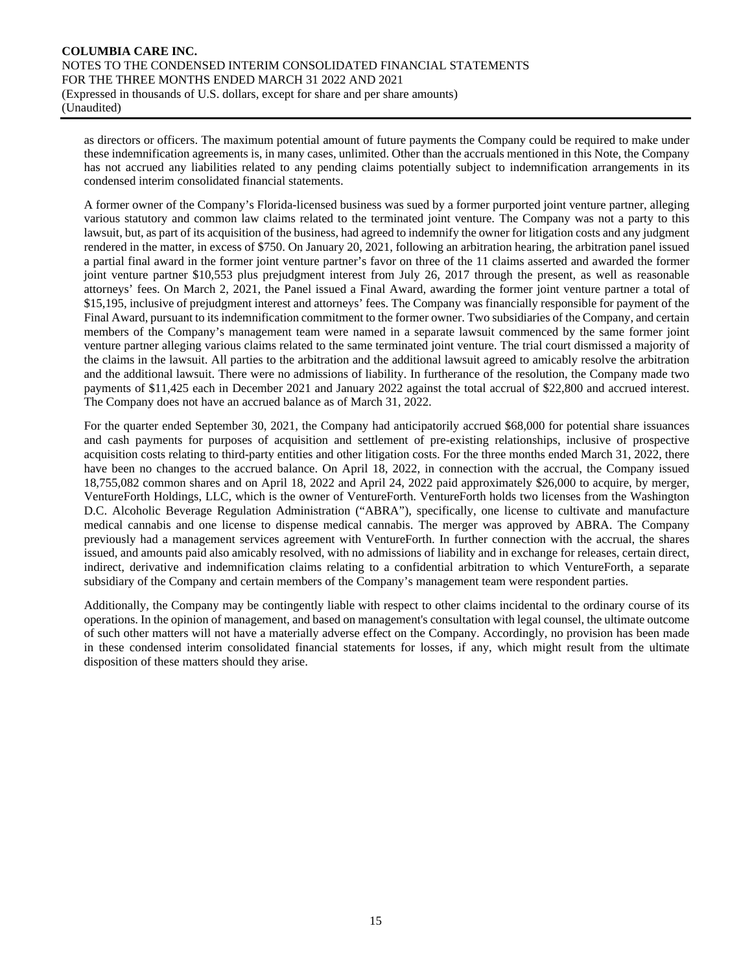as directors or officers. The maximum potential amount of future payments the Company could be required to make under these indemnification agreements is, in many cases, unlimited. Other than the accruals mentioned in this Note, the Company has not accrued any liabilities related to any pending claims potentially subject to indemnification arrangements in its condensed interim consolidated financial statements.

A former owner of the Company's Florida-licensed business was sued by a former purported joint venture partner, alleging various statutory and common law claims related to the terminated joint venture. The Company was not a party to this lawsuit, but, as part of its acquisition of the business, had agreed to indemnify the owner for litigation costs and any judgment rendered in the matter, in excess of \$750. On January 20, 2021, following an arbitration hearing, the arbitration panel issued a partial final award in the former joint venture partner's favor on three of the 11 claims asserted and awarded the former joint venture partner \$10,553 plus prejudgment interest from July 26, 2017 through the present, as well as reasonable attorneys' fees. On March 2, 2021, the Panel issued a Final Award, awarding the former joint venture partner a total of \$15,195, inclusive of prejudgment interest and attorneys' fees. The Company was financially responsible for payment of the Final Award, pursuant to its indemnification commitment to the former owner. Two subsidiaries of the Company, and certain members of the Company's management team were named in a separate lawsuit commenced by the same former joint venture partner alleging various claims related to the same terminated joint venture. The trial court dismissed a majority of the claims in the lawsuit. All parties to the arbitration and the additional lawsuit agreed to amicably resolve the arbitration and the additional lawsuit. There were no admissions of liability. In furtherance of the resolution, the Company made two payments of \$11,425 each in December 2021 and January 2022 against the total accrual of \$22,800 and accrued interest. The Company does not have an accrued balance as of March 31, 2022.

For the quarter ended September 30, 2021, the Company had anticipatorily accrued \$68,000 for potential share issuances and cash payments for purposes of acquisition and settlement of pre-existing relationships, inclusive of prospective acquisition costs relating to third-party entities and other litigation costs. For the three months ended March 31, 2022, there have been no changes to the accrued balance. On April 18, 2022, in connection with the accrual, the Company issued 18,755,082 common shares and on April 18, 2022 and April 24, 2022 paid approximately \$26,000 to acquire, by merger, VentureForth Holdings, LLC, which is the owner of VentureForth. VentureForth holds two licenses from the Washington D.C. Alcoholic Beverage Regulation Administration ("ABRA"), specifically, one license to cultivate and manufacture medical cannabis and one license to dispense medical cannabis. The merger was approved by ABRA. The Company previously had a management services agreement with VentureForth. In further connection with the accrual, the shares issued, and amounts paid also amicably resolved, with no admissions of liability and in exchange for releases, certain direct, indirect, derivative and indemnification claims relating to a confidential arbitration to which VentureForth, a separate subsidiary of the Company and certain members of the Company's management team were respondent parties.

Additionally, the Company may be contingently liable with respect to other claims incidental to the ordinary course of its operations. In the opinion of management, and based on management's consultation with legal counsel, the ultimate outcome of such other matters will not have a materially adverse effect on the Company. Accordingly, no provision has been made in these condensed interim consolidated financial statements for losses, if any, which might result from the ultimate disposition of these matters should they arise.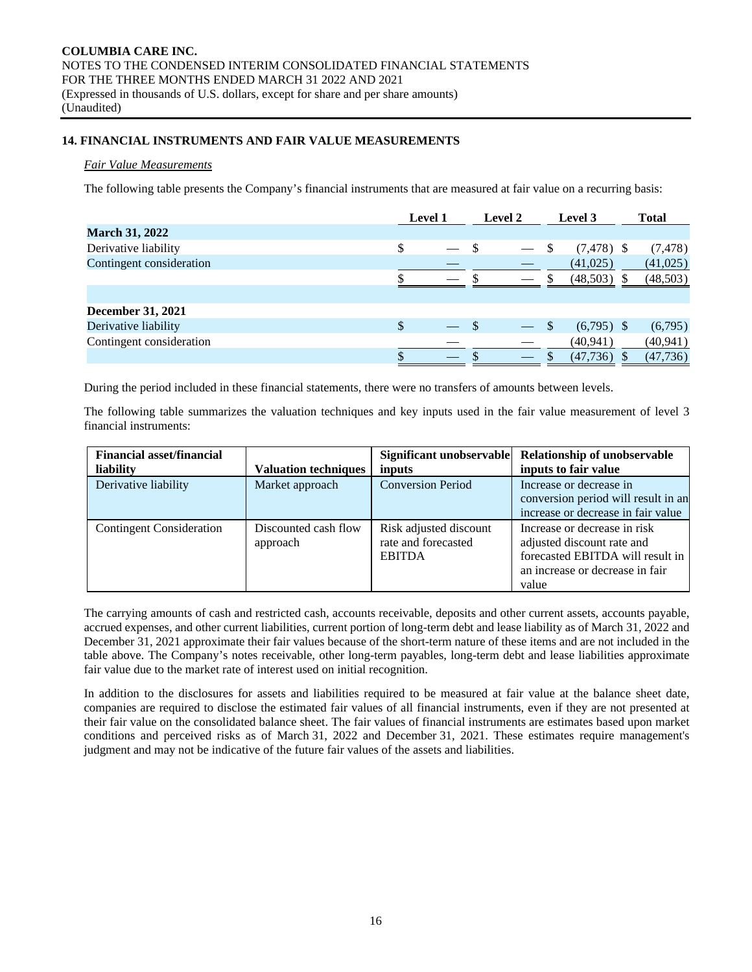## **14. FINANCIAL INSTRUMENTS AND FAIR VALUE MEASUREMENTS**

## *Fair Value Measurements*

The following table presents the Company's financial instruments that are measured at fair value on a recurring basis:

|                          | <b>Level 1</b> |  | <b>Level 2</b> |  | Level 3  |              | <b>Total</b> |
|--------------------------|----------------|--|----------------|--|----------|--------------|--------------|
| <b>March 31, 2022</b>    |                |  |                |  |          |              |              |
| Derivative liability     | \$             |  |                |  |          | $(7,478)$ \$ | (7, 478)     |
| Contingent consideration |                |  |                |  |          | (41, 025)    | (41,025)     |
|                          |                |  |                |  |          | (48,503)     | (48,503)     |
|                          |                |  |                |  |          |              |              |
| <b>December 31, 2021</b> |                |  |                |  |          |              |              |
| Derivative liability     |                |  | <sup>\$</sup>  |  | <b>S</b> | $(6,795)$ \$ | (6,795)      |
| Contingent consideration |                |  |                |  |          | (40, 941)    | (40, 941)    |
|                          |                |  |                |  |          | (47, 736)    | (47, 736)    |

During the period included in these financial statements, there were no transfers of amounts between levels.

The following table summarizes the valuation techniques and key inputs used in the fair value measurement of level 3 financial instruments:

| <b>Financial asset/financial</b><br>liability | <b>Valuation techniques</b>      | Significant unobservable<br>inputs                             | <b>Relationship of unobservable</b><br>inputs to fair value                                                                                |
|-----------------------------------------------|----------------------------------|----------------------------------------------------------------|--------------------------------------------------------------------------------------------------------------------------------------------|
| Derivative liability                          | Market approach                  | <b>Conversion Period</b>                                       | Increase or decrease in<br>conversion period will result in an<br>increase or decrease in fair value                                       |
| <b>Contingent Consideration</b>               | Discounted cash flow<br>approach | Risk adjusted discount<br>rate and forecasted<br><b>EBITDA</b> | Increase or decrease in risk<br>adjusted discount rate and<br>forecasted EBITDA will result in<br>an increase or decrease in fair<br>value |

The carrying amounts of cash and restricted cash, accounts receivable, deposits and other current assets, accounts payable, accrued expenses, and other current liabilities, current portion of long-term debt and lease liability as of March 31, 2022 and December 31, 2021 approximate their fair values because of the short-term nature of these items and are not included in the table above. The Company's notes receivable, other long-term payables, long-term debt and lease liabilities approximate fair value due to the market rate of interest used on initial recognition.

In addition to the disclosures for assets and liabilities required to be measured at fair value at the balance sheet date, companies are required to disclose the estimated fair values of all financial instruments, even if they are not presented at their fair value on the consolidated balance sheet. The fair values of financial instruments are estimates based upon market conditions and perceived risks as of March 31, 2022 and December 31, 2021. These estimates require management's judgment and may not be indicative of the future fair values of the assets and liabilities.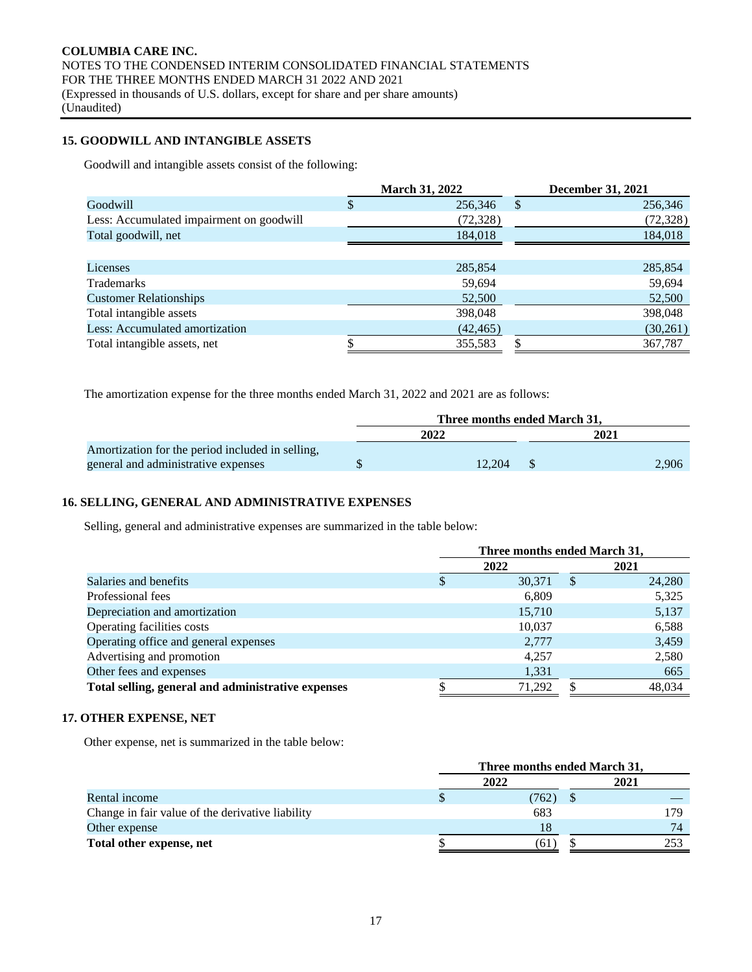## **15. GOODWILL AND INTANGIBLE ASSETS**

Goodwill and intangible assets consist of the following:

|                                          | <b>March 31, 2022</b> |           |     | <b>December 31, 2021</b> |
|------------------------------------------|-----------------------|-----------|-----|--------------------------|
| Goodwill                                 | \$                    | 256,346   | \$. | 256,346                  |
| Less: Accumulated impairment on goodwill |                       | (72,328)  |     | (72, 328)                |
| Total goodwill, net                      |                       | 184,018   |     | 184,018                  |
|                                          |                       |           |     |                          |
| Licenses                                 |                       | 285,854   |     | 285,854                  |
| <b>Trademarks</b>                        |                       | 59,694    |     | 59,694                   |
| <b>Customer Relationships</b>            |                       | 52,500    |     | 52,500                   |
| Total intangible assets                  |                       | 398,048   |     | 398,048                  |
| Less: Accumulated amortization           |                       | (42, 465) |     | (30,261)                 |
| Total intangible assets, net             |                       | 355,583   |     | 367,787                  |

The amortization expense for the three months ended March 31, 2022 and 2021 are as follows:

|                                                  | Three months ended March 31. |      |  |       |  |  |
|--------------------------------------------------|------------------------------|------|--|-------|--|--|
|                                                  | 2022                         | 2021 |  |       |  |  |
| Amortization for the period included in selling, |                              |      |  |       |  |  |
| general and administrative expenses              | 12.204                       |      |  | 2.906 |  |  |

## **16. SELLING, GENERAL AND ADMINISTRATIVE EXPENSES**

Selling, general and administrative expenses are summarized in the table below:

|                                                    |      | Three months ended March 31, |             |  |  |
|----------------------------------------------------|------|------------------------------|-------------|--|--|
|                                                    | 2022 |                              | 2021        |  |  |
| Salaries and benefits                              |      | 30,371                       | 24,280<br>S |  |  |
| Professional fees                                  |      | 6,809                        | 5,325       |  |  |
| Depreciation and amortization                      |      | 15,710                       | 5,137       |  |  |
| Operating facilities costs                         |      | 10,037                       | 6,588       |  |  |
| Operating office and general expenses              |      | 2,777                        | 3,459       |  |  |
| Advertising and promotion                          |      | 4,257                        | 2,580       |  |  |
| Other fees and expenses                            |      | 1,331                        | 665         |  |  |
| Total selling, general and administrative expenses |      | 71,292                       | 48,034      |  |  |

## **17. OTHER EXPENSE, NET**

Other expense, net is summarized in the table below:

|                                                  |   | Three months ended March 31, |  |      |  |  |
|--------------------------------------------------|---|------------------------------|--|------|--|--|
|                                                  |   | 2022                         |  | 2021 |  |  |
| Rental income                                    | J | 762)                         |  |      |  |  |
| Change in fair value of the derivative liability |   | 683                          |  | 179  |  |  |
| Other expense                                    |   | 18                           |  | 74   |  |  |
| Total other expense, net                         |   | (61                          |  |      |  |  |